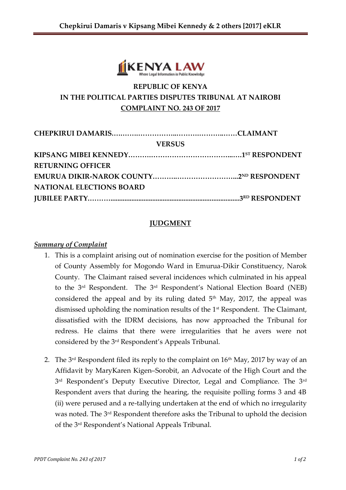

# **REPUBLIC OF KENYA IN THE POLITICAL PARTIES DISPUTES TRIBUNAL AT NAIROBI COMPLAINT NO. 243 OF 2017**

| <b>VERSUS</b>                   |  |
|---------------------------------|--|
|                                 |  |
| <b>RETURNING OFFICER</b>        |  |
|                                 |  |
| <b>NATIONAL ELECTIONS BOARD</b> |  |
|                                 |  |

### **JUDGMENT**

#### *Summary of Complaint*

- 1. This is a complaint arising out of nomination exercise for the position of Member of County Assembly for Mogondo Ward in Emurua-Dikir Constituency, Narok County. The Claimant raised several incidences which culminated in his appeal to the 3rd Respondent. The 3rd Respondent's National Election Board (NEB) considered the appeal and by its ruling dated  $5<sup>th</sup>$  May, 2017, the appeal was dismissed upholding the nomination results of the 1<sup>st</sup> Respondent. The Claimant, dissatisfied with the IDRM decisions, has now approached the Tribunal for redress. He claims that there were irregularities that he avers were not considered by the 3rd Respondent's Appeals Tribunal.
- 2. The  $3^{rd}$  Respondent filed its reply to the complaint on  $16^{th}$  May, 2017 by way of an Affidavit by MaryKaren Kigen–Sorobit, an Advocate of the High Court and the 3<sup>rd</sup> Respondent's Deputy Executive Director, Legal and Compliance. The 3<sup>rd</sup> Respondent avers that during the hearing, the requisite polling forms 3 and 4B (ii) were perused and a re-tallying undertaken at the end of which no irregularity was noted. The 3 rd Respondent therefore asks the Tribunal to uphold the decision of the 3rd Respondent's National Appeals Tribunal.